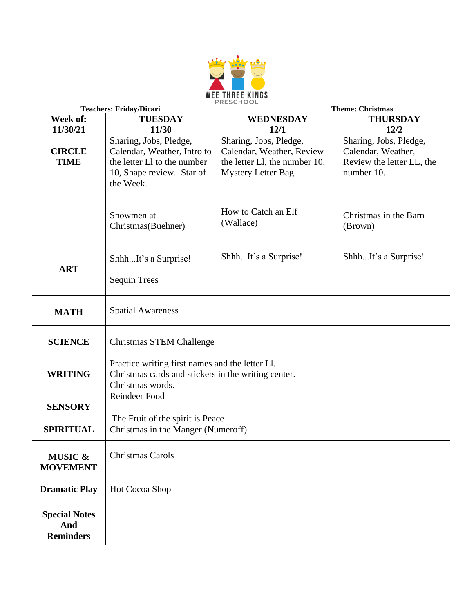

| <b>Teachers: Friday/Dicari</b>                  |                                                                                                                                | <b>Theme: Christmas</b>                                                                                     |                                                                                         |  |
|-------------------------------------------------|--------------------------------------------------------------------------------------------------------------------------------|-------------------------------------------------------------------------------------------------------------|-----------------------------------------------------------------------------------------|--|
| Week of:                                        | <b>TUESDAY</b>                                                                                                                 | <b>WEDNESDAY</b>                                                                                            | <b>THURSDAY</b>                                                                         |  |
| 11/30/21                                        | 11/30                                                                                                                          | 12/1                                                                                                        | 12/2                                                                                    |  |
| <b>CIRCLE</b><br><b>TIME</b>                    | Sharing, Jobs, Pledge,<br>Calendar, Weather, Intro to<br>the letter L1 to the number<br>10, Shape review. Star of<br>the Week. | Sharing, Jobs, Pledge,<br>Calendar, Weather, Review<br>the letter Ll, the number 10.<br>Mystery Letter Bag. | Sharing, Jobs, Pledge,<br>Calendar, Weather,<br>Review the letter LL, the<br>number 10. |  |
|                                                 | Snowmen at<br>Christmas(Buehner)                                                                                               | How to Catch an Elf<br>(Wallace)                                                                            | Christmas in the Barn<br>(Brown)                                                        |  |
| <b>ART</b>                                      | ShhhIt's a Surprise!<br><b>Sequin Trees</b>                                                                                    | ShhhIt's a Surprise!                                                                                        | ShhhIt's a Surprise!                                                                    |  |
| <b>MATH</b>                                     | <b>Spatial Awareness</b>                                                                                                       |                                                                                                             |                                                                                         |  |
| <b>SCIENCE</b>                                  | Christmas STEM Challenge                                                                                                       |                                                                                                             |                                                                                         |  |
| <b>WRITING</b>                                  | Practice writing first names and the letter Ll.<br>Christmas cards and stickers in the writing center.<br>Christmas words.     |                                                                                                             |                                                                                         |  |
| <b>SENSORY</b>                                  | Reindeer Food                                                                                                                  |                                                                                                             |                                                                                         |  |
| <b>SPIRITUAL</b>                                | The Fruit of the spirit is Peace<br>Christmas in the Manger (Numeroff)                                                         |                                                                                                             |                                                                                         |  |
| <b>MUSIC &amp;</b><br><b>MOVEMENT</b>           | Christmas Carols                                                                                                               |                                                                                                             |                                                                                         |  |
| <b>Dramatic Play</b>                            | Hot Cocoa Shop                                                                                                                 |                                                                                                             |                                                                                         |  |
| <b>Special Notes</b><br>And<br><b>Reminders</b> |                                                                                                                                |                                                                                                             |                                                                                         |  |